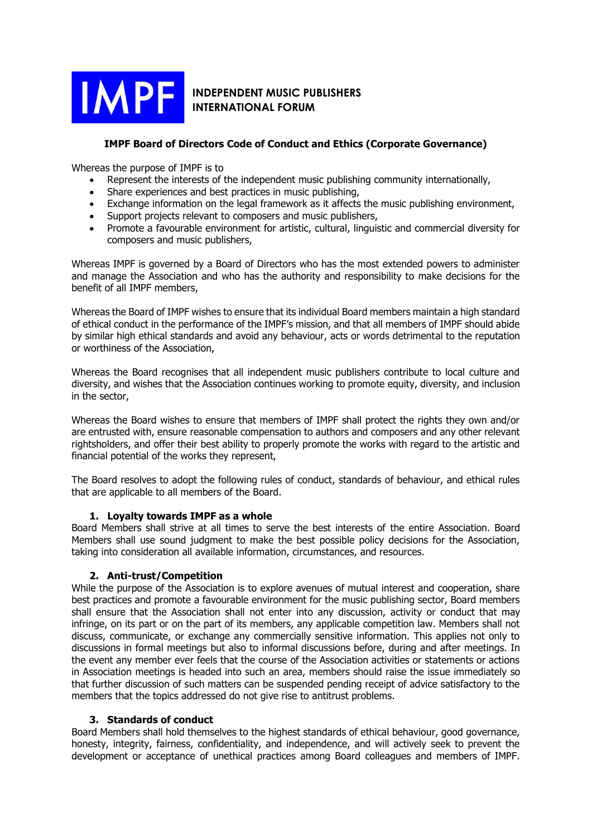

# **INDEPENDENT MUSIC PUBLISHERS INTERNATIONAL FORUM**

## **IMPF Board of Directors Code of Conduct and Ethics (Corporate Governance)**

Whereas the purpose of IMPF is to

- Represent the interests of the independent music publishing community internationally,
- Share experiences and best practices in music publishing,
- Exchange information on the legal framework as it affects the music publishing environment.
- Support projects relevant to composers and music publishers,
- Promote a favourable environment for artistic, cultural, linguistic and commercial diversity for composers and music publishers,

Whereas IMPF is governed by a Board of Directors who has the most extended powers to administer and manage the Association and who has the authority and responsibility to make decisions for the benefit of all IMPF members,

Whereas the Board of IMPF wishes to ensure that its individual Board members maintain a high standard of ethical conduct in the performance of the IMPF's mission, and that all members of IMPF should abide by similar high ethical standards and avoid any behaviour, acts or words detrimental to the reputation or worthiness of the Association,

Whereas the Board recognises that all independent music publishers contribute to local culture and diversity, and wishes that the Association continues working to promote equity, diversity, and inclusion in the sector,

Whereas the Board wishes to ensure that members of IMPF shall protect the rights they own and/or are entrusted with, ensure reasonable compensation to authors and composers and any other relevant rightsholders, and offer their best ability to properly promote the works with regard to the artistic and financial potential of the works they represent,

The Board resolves to adopt the following rules of conduct, standards of behaviour, and ethical rules that are applicable to all members of the Board.

#### **1. Loyalty towards IMPF as a whole**

Board Members shall strive at all times to serve the best interests of the entire Association. Board Members shall use sound judgment to make the best possible policy decisions for the Association, taking into consideration all available information, circumstances, and resources.

#### **2. Anti-trust/Competition**

While the purpose of the Association is to explore avenues of mutual interest and cooperation, share best practices and promote a favourable environment for the music publishing sector, Board members shall ensure that the Association shall not enter into any discussion, activity or conduct that may infringe, on its part or on the part of its members, any applicable competition law. Members shall not discuss, communicate, or exchange any commercially sensitive information. This applies not only to discussions in formal meetings but also to informal discussions before, during and after meetings. In the event any member ever feels that the course of the Association activities or statements or actions in Association meetings is headed into such an area, members should raise the issue immediately so that further discussion of such matters can be suspended pending receipt of advice satisfactory to the members that the topics addressed do not give rise to antitrust problems.

#### **3. Standards of conduct**

Board Members shall hold themselves to the highest standards of ethical behaviour, good governance, honesty, integrity, fairness, confidentiality, and independence, and will actively seek to prevent the development or acceptance of unethical practices among Board colleagues and members of IMPF.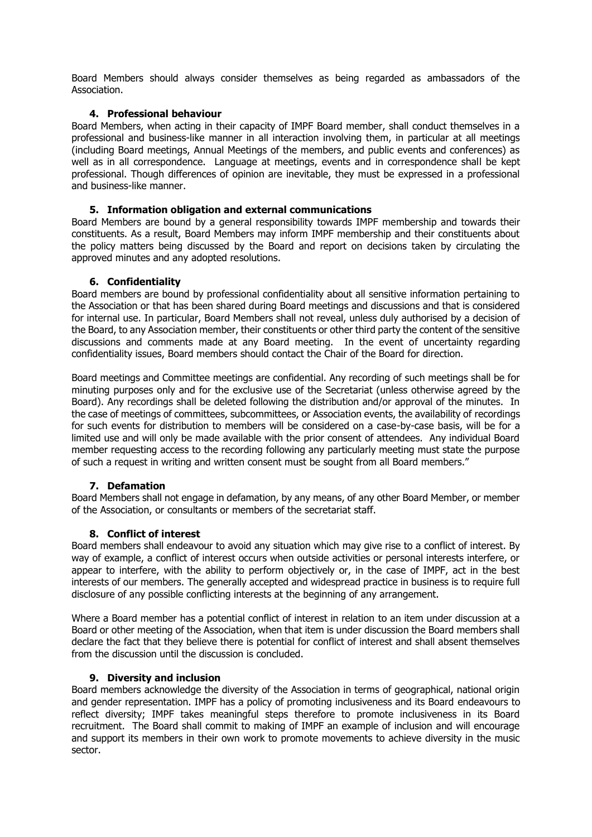Board Members should always consider themselves as being regarded as ambassadors of the Association.

### **4. Professional behaviour**

Board Members, when acting in their capacity of IMPF Board member, shall conduct themselves in a professional and business-like manner in all interaction involving them, in particular at all meetings (including Board meetings, Annual Meetings of the members, and public events and conferences) as well as in all correspondence. Language at meetings, events and in correspondence shall be kept professional. Though differences of opinion are inevitable, they must be expressed in a professional and business-like manner.

#### **5. Information obligation and external communications**

Board Members are bound by a general responsibility towards IMPF membership and towards their constituents. As a result, Board Members may inform IMPF membership and their constituents about the policy matters being discussed by the Board and report on decisions taken by circulating the approved minutes and any adopted resolutions.

#### **6. Confidentiality**

Board members are bound by professional confidentiality about all sensitive information pertaining to the Association or that has been shared during Board meetings and discussions and that is considered for internal use. In particular, Board Members shall not reveal, unless duly authorised by a decision of the Board, to any Association member, their constituents or other third party the content of the sensitive discussions and comments made at any Board meeting. In the event of uncertainty regarding confidentiality issues, Board members should contact the Chair of the Board for direction.

Board meetings and Committee meetings are confidential. Any recording of such meetings shall be for minuting purposes only and for the exclusive use of the Secretariat (unless otherwise agreed by the Board). Any recordings shall be deleted following the distribution and/or approval of the minutes. In the case of meetings of committees, subcommittees, or Association events, the availability of recordings for such events for distribution to members will be considered on a case-by-case basis, will be for a limited use and will only be made available with the prior consent of attendees. Any individual Board member requesting access to the recording following any particularly meeting must state the purpose of such a request in writing and written consent must be sought from all Board members."

#### **7. Defamation**

Board Members shall not engage in defamation, by any means, of any other Board Member, or member of the Association, or consultants or members of the secretariat staff.

## **8. Conflict of interest**

Board members shall endeavour to avoid any situation which may give rise to a conflict of interest. By way of example, a conflict of interest occurs when outside activities or personal interests interfere, or appear to interfere, with the ability to perform objectively or, in the case of IMPF, act in the best interests of our members. The generally accepted and widespread practice in business is to require full disclosure of any possible conflicting interests at the beginning of any arrangement.

Where a Board member has a potential conflict of interest in relation to an item under discussion at a Board or other meeting of the Association, when that item is under discussion the Board members shall declare the fact that they believe there is potential for conflict of interest and shall absent themselves from the discussion until the discussion is concluded.

#### **9. Diversity and inclusion**

Board members acknowledge the diversity of the Association in terms of geographical, national origin and gender representation. IMPF has a policy of promoting inclusiveness and its Board endeavours to reflect diversity; IMPF takes meaningful steps therefore to promote inclusiveness in its Board recruitment. The Board shall commit to making of IMPF an example of inclusion and will encourage and support its members in their own work to promote movements to achieve diversity in the music sector.